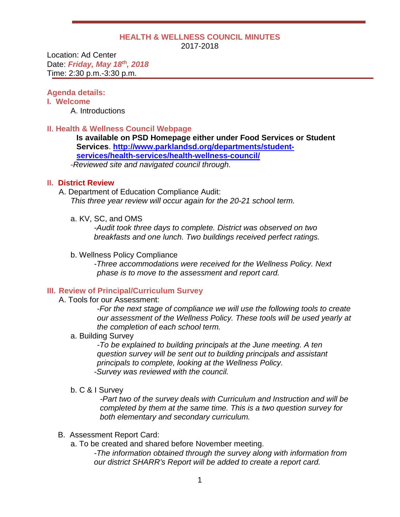#### **HEALTH & WELLNESS COUNCIL MINUTES** 2017-2018

Location: Ad Center Date: *Friday, May 18th, 2018* Time: 2:30 p.m.-3:30 p.m.

# **Agenda details:**

# **I. Welcome**

A. Introductions

# II. **Health & Wellness Council Webpage**

**Is available on PSD Homepage either under Food Services or Student Services. [http://www.parklandsd.org/departments/student](http://www.parklandsd.org/departments/student-services/health-services/health-wellness-council/)[services/health-services/health-wellness-council/](http://www.parklandsd.org/departments/student-services/health-services/health-wellness-council/) -***Reviewed site and navigated council through.*

# **II. District Review**

A. Department of Education Compliance Audit: *This three year review will occur again for the 20-21 school term.*

a. KV, SC, and OMS

*-Audit took three days to complete. District was observed on two breakfasts and one lunch. Two buildings received perfect ratings.*

# b. Wellness Policy Compliance

*-Three accommodations were received for the Wellness Policy. Next phase is to move to the assessment and report card.*

#### **III. Review of Principal/Curriculum Survey**

A. Tools for our Assessment:

-*For the next stage of compliance we will use the following tools to create our assessment of the Wellness Policy. These tools will be used yearly at the completion of each school term.*

a. Building Survey

*-To be explained to building principals at the June meeting. A ten question survey will be sent out to building principals and assistant principals to complete, looking at the Wellness Policy. -Survey was reviewed with the council.*

b. C & I Survey

*-Part two of the survey deals with Curriculum and Instruction and will be completed by them at the same time. This is a two question survey for both elementary and secondary curriculum.*

#### B. Assessment Report Card:

a. To be created and shared before November meeting.

*-The information obtained through the survey along with information from our district SHARR's Report will be added to create a report card.*